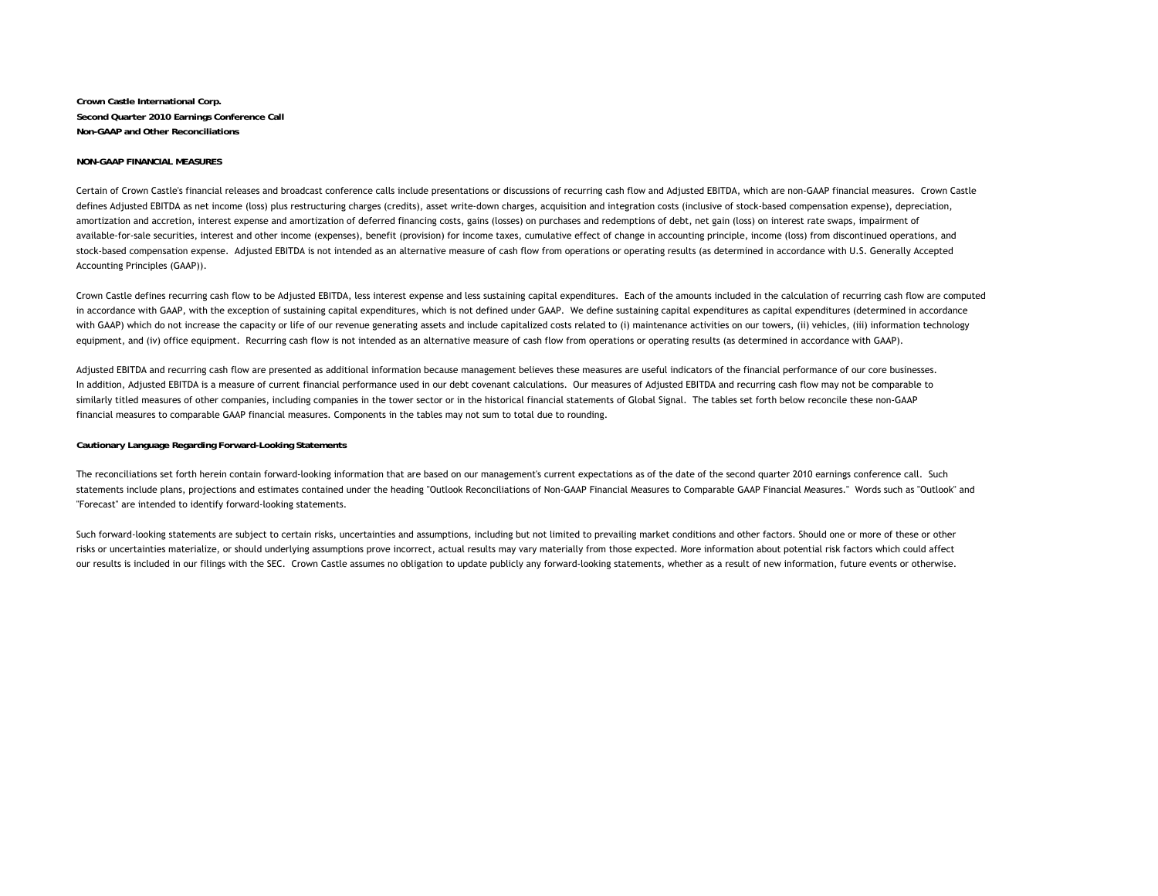**Crown Castle International Corp. Second Quarter 2010 Earnings Conference Call Non-GAAP and Other Reconciliations**

#### **NON-GAAP FINANCIAL MEASURES**

Certain of Crown Castle's financial releases and broadcast conference calls include presentations or discussions of recurring cash flow and Adjusted EBITDA, which are non-GAAP financial measures. Crown Castle defines Adjusted EBITDA as net income (loss) plus restructuring charges (credits), asset write-down charges, acquisition and integration costs (inclusive of stock-based compensation expense), depreciation, amortization and accretion, interest expense and amortization of deferred financing costs, gains (losses) on purchases and redemptions of debt, net gain (loss) on interest rate swaps, impairment of available-for-sale securities, interest and other income (expenses), benefit (provision) for income taxes, cumulative effect of change in accounting principle, income (loss) from discontinued operations, and stock-based compensation expense. Adjusted EBITDA is not intended as an alternative measure of cash flow from operations or operating results (as determined in accordance with U.S. Generally Accepted Accounting Principles (GAAP)).

Crown Castle defines recurring cash flow to be Adjusted EBITDA, less interest expense and less sustaining capital expenditures. Each of the amounts included in the calculation of recurring cash flow are computed in accordance with GAAP, with the exception of sustaining capital expenditures, which is not defined under GAAP. We define sustaining capital expenditures as capital expenditures (determined in accordance with GAAP) which do not increase the capacity or life of our revenue generating assets and include capitalized costs related to (i) maintenance activities on our towers, (ii) vehicles, (iii) information technology equipment, and (iv) office equipment. Recurring cash flow is not intended as an alternative measure of cash flow from operations or operating results (as determined in accordance with GAAP).

Adjusted EBITDA and recurring cash flow are presented as additional information because management believes these measures are useful indicators of the financial performance of our core businesses. In addition, Adjusted EBITDA is a measure of current financial performance used in our debt covenant calculations. Our measures of Adjusted EBITDA and recurring cash flow may not be comparable to similarly titled measures of other companies, including companies in the tower sector or in the historical financial statements of Global Signal. The tables set forth below reconcile these non-GAAP financial measures to comparable GAAP financial measures. Components in the tables may not sum to total due to rounding.

#### **Cautionary Language Regarding Forward-Looking Statements**

The reconciliations set forth herein contain forward-looking information that are based on our management's current expectations as of the date of the second quarter 2010 earnings conference call. Such statements include plans, projections and estimates contained under the heading "Outlook Reconciliations of Non-GAAP Financial Measures to Comparable GAAP Financial Measures." Words such as "Outlook" and "Forecast" are intended to identify forward-looking statements.

Such forward-looking statements are subject to certain risks, uncertainties and assumptions, including but not limited to prevailing market conditions and other factors. Should one or more of these or other risks or uncertainties materialize, or should underlying assumptions prove incorrect, actual results may vary materially from those expected. More information about potential risk factors which could affect our results is included in our filings with the SEC. Crown Castle assumes no obligation to update publicly any forward-looking statements, whether as a result of new information, future events or otherwise.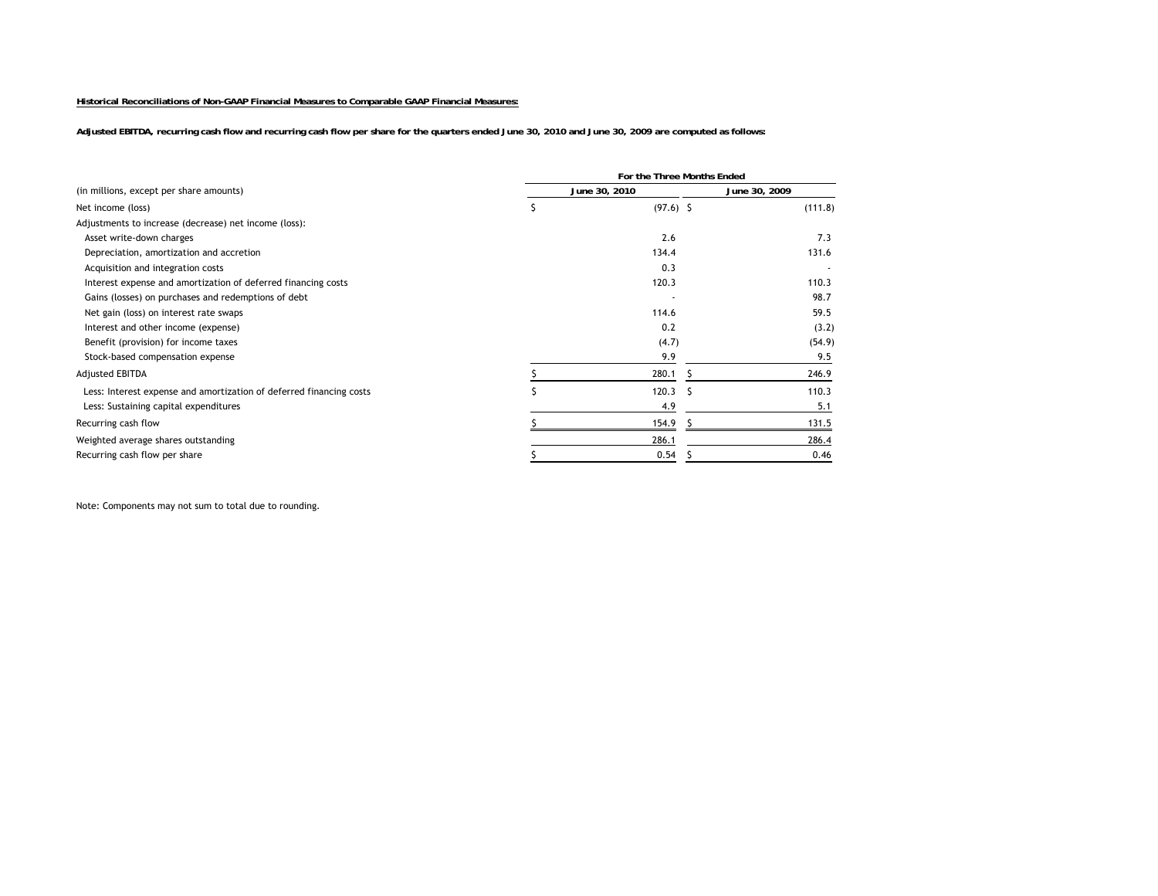# **Historical Reconciliations of Non-GAAP Financial Measures to Comparable GAAP Financial Measures:**

**Adjusted EBITDA, recurring cash flow and recurring cash flow per share for the quarters ended June 30, 2010 and June 30, 2009 are computed as follows:**

|                                                                     | For the Three Months Ended |                    |         |  |
|---------------------------------------------------------------------|----------------------------|--------------------|---------|--|
| (in millions, except per share amounts)                             | June 30, 2010              | June 30, 2009      |         |  |
| Net income (loss)                                                   |                            | $(97.6)$ \$        | (111.8) |  |
| Adjustments to increase (decrease) net income (loss):               |                            |                    |         |  |
| Asset write-down charges                                            |                            | 2.6                | 7.3     |  |
| Depreciation, amortization and accretion                            |                            | 134.4              | 131.6   |  |
| Acquisition and integration costs                                   |                            | 0.3                |         |  |
| Interest expense and amortization of deferred financing costs       |                            | 120.3              | 110.3   |  |
| Gains (losses) on purchases and redemptions of debt                 |                            |                    | 98.7    |  |
| Net gain (loss) on interest rate swaps                              |                            | 114.6              | 59.5    |  |
| Interest and other income (expense)                                 |                            | 0.2                | (3.2)   |  |
| Benefit (provision) for income taxes                                |                            | (4.7)              | (54.9)  |  |
| Stock-based compensation expense                                    |                            | 9.9                | 9.5     |  |
| Adjusted EBITDA                                                     |                            | 280.1              | 246.9   |  |
| Less: Interest expense and amortization of deferred financing costs |                            | 120.3 <sup>5</sup> | 110.3   |  |
| Less: Sustaining capital expenditures                               |                            | 4.9                | 5.1     |  |
| Recurring cash flow                                                 |                            | 154.9              | 131.5   |  |
| Weighted average shares outstanding                                 |                            | 286.1              | 286.4   |  |
| Recurring cash flow per share                                       |                            | 0.54               | 0.46    |  |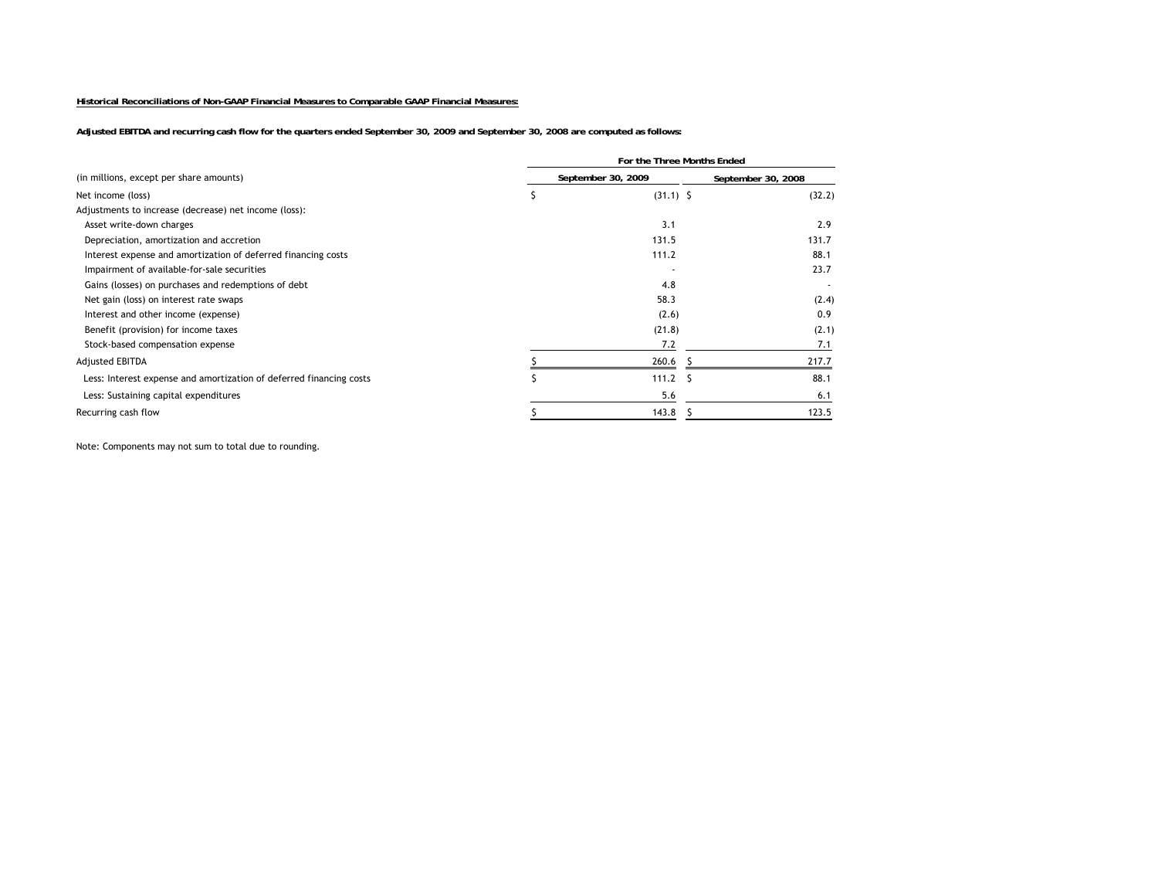# **Historical Reconciliations of Non-GAAP Financial Measures to Comparable GAAP Financial Measures:**

**Adjusted EBITDA and recurring cash flow for the quarters ended September 30, 2009 and September 30, 2008 are computed as follows:**

|                                                                     | For the Three Months Ended |                    |                    |        |
|---------------------------------------------------------------------|----------------------------|--------------------|--------------------|--------|
| (in millions, except per share amounts)                             | September 30, 2009         |                    | September 30, 2008 |        |
| Net income (loss)                                                   | Ś                          | $(31.1)$ \$        |                    | (32.2) |
| Adjustments to increase (decrease) net income (loss):               |                            |                    |                    |        |
| Asset write-down charges                                            |                            | 3.1                |                    | 2.9    |
| Depreciation, amortization and accretion                            |                            | 131.5              |                    | 131.7  |
| Interest expense and amortization of deferred financing costs       |                            | 111.2              |                    | 88.1   |
| Impairment of available-for-sale securities                         |                            |                    |                    | 23.7   |
| Gains (losses) on purchases and redemptions of debt                 |                            | 4.8                |                    | ٠      |
| Net gain (loss) on interest rate swaps                              |                            | 58.3               |                    | (2.4)  |
| Interest and other income (expense)                                 |                            | (2.6)              |                    | 0.9    |
| Benefit (provision) for income taxes                                |                            | (21.8)             |                    | (2.1)  |
| Stock-based compensation expense                                    |                            | 7.2                |                    | 7.1    |
| <b>Adjusted EBITDA</b>                                              |                            | $260.6$ \$         |                    | 217.7  |
| Less: Interest expense and amortization of deferred financing costs |                            | 111.2 <sub>5</sub> |                    | 88.1   |
| Less: Sustaining capital expenditures                               |                            | 5.6                |                    | 6.1    |
| Recurring cash flow                                                 |                            | 143.8              |                    | 123.5  |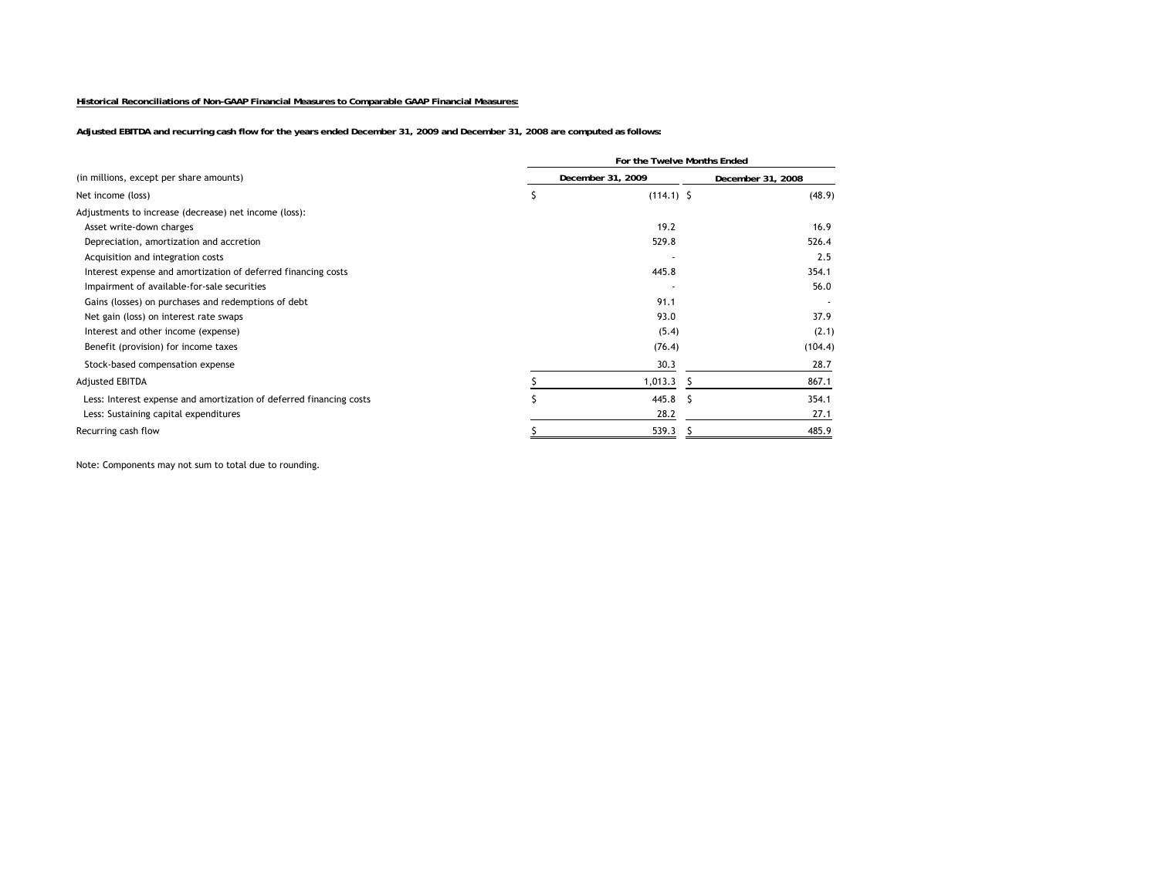# **Historical Reconciliations of Non-GAAP Financial Measures to Comparable GAAP Financial Measures:**

**Adjusted EBITDA and recurring cash flow for the years ended December 31, 2009 and December 31, 2008 are computed as follows:**

|                                                                     | For the Twelve Months Ended |                   |         |  |
|---------------------------------------------------------------------|-----------------------------|-------------------|---------|--|
| (in millions, except per share amounts)                             |                             | December 31, 2009 |         |  |
| Net income (loss)                                                   |                             | $(114.1)$ \$      | (48.9)  |  |
| Adjustments to increase (decrease) net income (loss):               |                             |                   |         |  |
| Asset write-down charges                                            |                             | 19.2              | 16.9    |  |
| Depreciation, amortization and accretion                            |                             | 529.8             | 526.4   |  |
| Acquisition and integration costs                                   |                             |                   | 2.5     |  |
| Interest expense and amortization of deferred financing costs       |                             | 445.8             | 354.1   |  |
| Impairment of available-for-sale securities                         |                             |                   | 56.0    |  |
| Gains (losses) on purchases and redemptions of debt                 |                             | 91.1              |         |  |
| Net gain (loss) on interest rate swaps                              |                             | 93.0              | 37.9    |  |
| Interest and other income (expense)                                 |                             | (5.4)             | (2.1)   |  |
| Benefit (provision) for income taxes                                |                             | (76.4)            | (104.4) |  |
| Stock-based compensation expense                                    |                             | 30.3              | 28.7    |  |
| <b>Adjusted EBITDA</b>                                              |                             | 1,013.3           | 867.1   |  |
| Less: Interest expense and amortization of deferred financing costs |                             | $445.8\quad$      | 354.1   |  |
| Less: Sustaining capital expenditures                               |                             | 28.2              | 27.1    |  |
| Recurring cash flow                                                 |                             | 539.3             | 485.9   |  |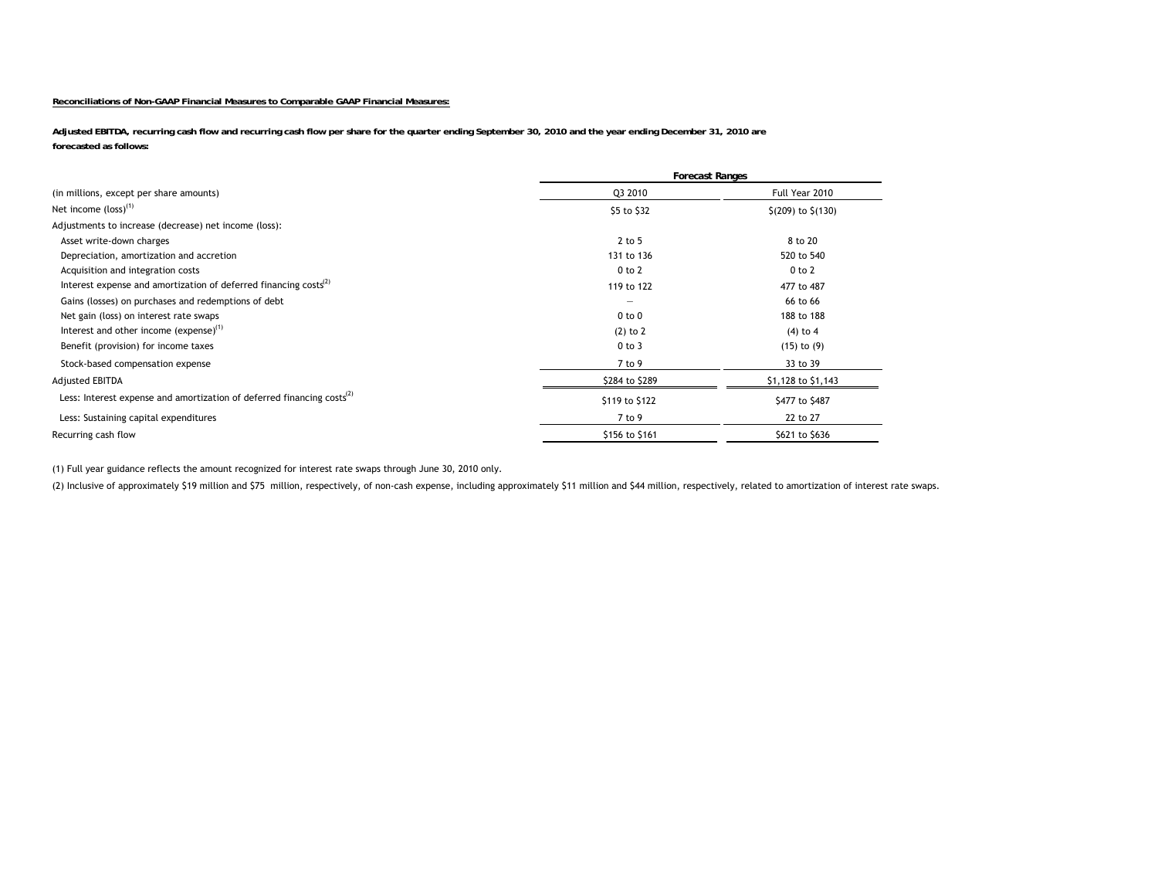# **Reconciliations of Non-GAAP Financial Measures to Comparable GAAP Financial Measures:**

**Adjusted EBITDA, recurring cash flow and recurring cash flow per share for the quarter ending September 30, 2010 and the year ending December 31, 2010 are forecasted as follows:**

|                                                                                    | <b>Forecast Ranges</b> |                      |
|------------------------------------------------------------------------------------|------------------------|----------------------|
| (in millions, except per share amounts)                                            | Q3 2010                | Full Year 2010       |
| Net income $(logs)^{(1)}$                                                          | \$5 to \$32            | $$(209)$ to $$(130)$ |
| Adjustments to increase (decrease) net income (loss):                              |                        |                      |
| Asset write-down charges                                                           | $2$ to 5               | 8 to 20              |
| Depreciation, amortization and accretion                                           | 131 to 136             | 520 to 540           |
| Acquisition and integration costs                                                  | $0$ to $2$             | $0$ to $2$           |
| Interest expense and amortization of deferred financing $costs(2)$                 | 119 to 122             | 477 to 487           |
| Gains (losses) on purchases and redemptions of debt                                |                        | 66 to 66             |
| Net gain (loss) on interest rate swaps                                             | $0$ to $0$             | 188 to 188           |
| Interest and other income $(expense)^{(1)}$                                        | $(2)$ to 2             | $(4)$ to 4           |
| Benefit (provision) for income taxes                                               | $0$ to $3$             | $(15)$ to $(9)$      |
| Stock-based compensation expense                                                   | 7 to 9                 | 33 to 39             |
| <b>Adjusted EBITDA</b>                                                             | \$284 to \$289         | \$1,128 to \$1,143   |
| Less: Interest expense and amortization of deferred financing costs <sup>(2)</sup> | \$119 to \$122         | \$477 to \$487       |
| Less: Sustaining capital expenditures                                              | 7 to 9                 | 22 to 27             |
| Recurring cash flow                                                                | \$156 to \$161         | \$621 to \$636       |
|                                                                                    |                        |                      |

(1) Full year guidance reflects the amount recognized for interest rate swaps through June 30, 2010 only.

(2) Inclusive of approximately \$19 million and \$75 million, respectively, of non-cash expense, including approximately \$11 million and \$44 million, respectively, related to amortization of interest rate swaps.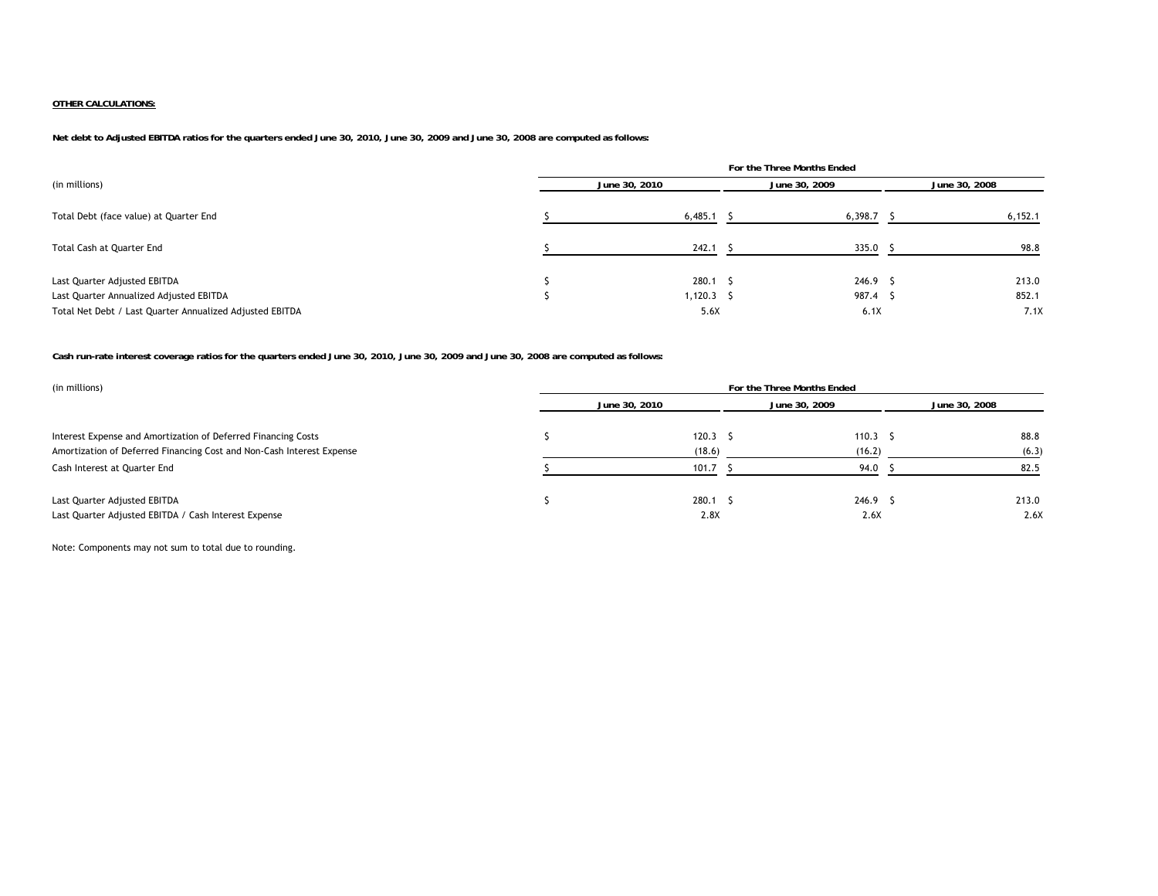#### **OTHER CALCULATIONS:**

**Net debt to Adjusted EBITDA ratios for the quarters ended June 30, 2010, June 30, 2009 and June 30, 2008 are computed as follows:**

|                                                          |               | For the Three Months Ended |               |
|----------------------------------------------------------|---------------|----------------------------|---------------|
| (in millions)                                            | June 30, 2010 | June 30, 2009              | June 30, 2008 |
| Total Debt (face value) at Quarter End                   | 6,485.1       | 6,398.7                    | 6,152.1       |
| Total Cash at Quarter End                                | 242.1         | $335.0$ \$                 | 98.8          |
| Last Quarter Adjusted EBITDA                             | $280.1$ S     | 246.9 <sup>5</sup>         | 213.0         |
| Last Quarter Annualized Adjusted EBITDA                  | $1,120.3$ \$  | 987.4 \$                   | 852.1         |
| Total Net Debt / Last Quarter Annualized Adjusted EBITDA | 5.6X          | 6.1X                       | 7.1X          |

**Cash run-rate interest coverage ratios for the quarters ended June 30, 2010, June 30, 2009 and June 30, 2008 are computed as follows:**

| (in millions)                                                         | For the Three Months Ended |                    |               |
|-----------------------------------------------------------------------|----------------------------|--------------------|---------------|
|                                                                       | June 30, 2010              | June 30, 2009      | June 30, 2008 |
| Interest Expense and Amortization of Deferred Financing Costs         | 120.3 <sup>5</sup>         | 110.3 <sub>5</sub> | 88.8          |
| Amortization of Deferred Financing Cost and Non-Cash Interest Expense | (18.6)                     | (16.2)             | (6.3)         |
| Cash Interest at Quarter End                                          | 101.7                      | 94.0               | 82.5          |
| Last Quarter Adjusted EBITDA                                          | $280.1$ \$                 | 246.9 <sup>5</sup> | 213.0         |
| Last Quarter Adjusted EBITDA / Cash Interest Expense                  | 2.8X                       | 2.6X               | 2.6X          |